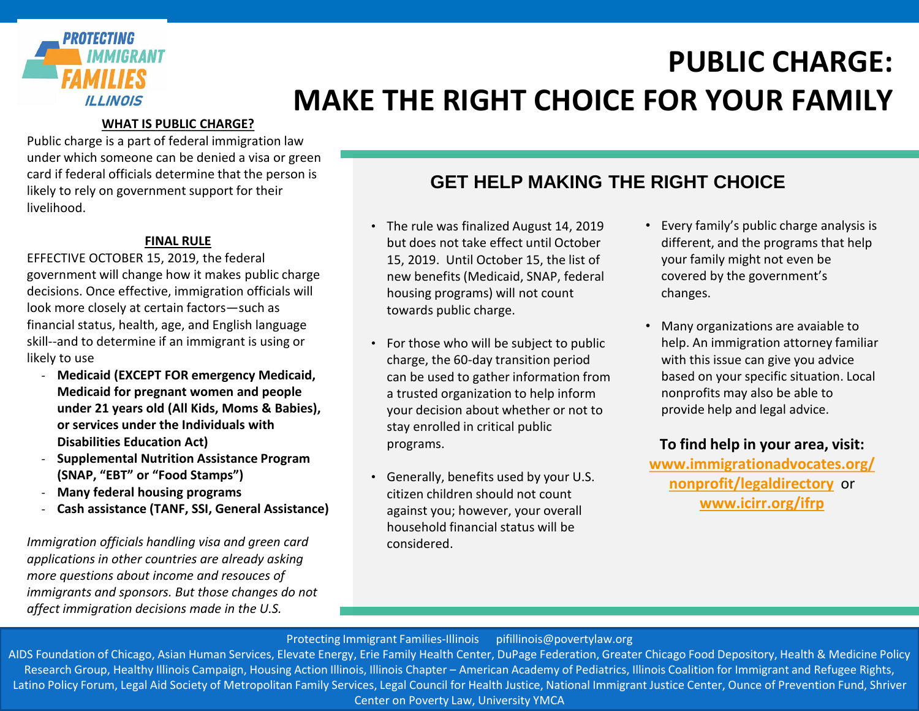

# **PUBLIC CHARGE: MAKE THE RIGHT CHOICE FOR YOUR FAMILY**

### **WHAT IS PUBLIC CHARGE?**

Public charge is a part of federal immigration law under which someone can be denied a visa or green card if federal officials determine that the person is likely to rely on government support for their livelihood.

### **FINAL RULE**

EFFECTIVE OCTOBER 15, 2019, the federal government will change how it makes public charge decisions. Once effective, immigration officials will look more closely at certain factors—such as financial status, health, age, and English language skill--and to determine if an immigrant is using or likely to use

- **Medicaid (EXCEPT FOR emergency Medicaid, Medicaid for pregnant women and people under 21 years old (All Kids, Moms & Babies), or services under the Individuals with Disabilities Education Act)**
- **Supplemental Nutrition Assistance Program (SNAP, "EBT" or "Food Stamps")**
- **Many federal housing programs**
- **Cash assistance (TANF, SSI, General Assistance)**

*Immigration officials handling visa and green card applications in other countries are already asking more questions about income and resouces of immigrants and sponsors. But those changes do not affect immigration decisions made in the U.S.*

## **GET HELP MAKING THE RIGHT CHOICE**

- The rule was finalized August 14, 2019 but does not take effect until October 15, 2019. Until October 15, the list of new benefits (Medicaid, SNAP, federal housing programs) will not count towards public charge.
- For those who will be subject to public charge, the 60-day transition period can be used to gather information from a trusted organization to help inform your decision about whether or not to stay enrolled in critical public programs.
- Generally, benefits used by your U.S. citizen children should not count against you; however, your overall household financial status will be considered.
- Every family's public charge analysis is different, and the programs that help your family might not even be covered by the government's changes.
- Many organizations are avaiable to help. An immigration attorney familiar with this issue can give you advice based on your specific situation. Local nonprofits may also be able to provide help and legal advice.

**To find help in your area, visit:** 

**www.immigrationadvocates.org/ nonprofit/legaldirectory** or **[www.icirr.org/ifrp](http://www.icirr.org/ifrp)**

#### Protecting Immigrant Families-Illinois pifillinois@povertylaw.org

AIDS Foundation of Chicago, Asian Human Services, Elevate Energy, Erie Family Health Center, DuPage Federation, Greater Chicago Food Depository, Health & Medicine Policy Research Group, Healthy Illinois Campaign, Housing Action Illinois, Illinois Chapter – American Academy of Pediatrics, Illinois Coalition for Immigrant and Refugee Rights, nesearch Group, Healthy illinois Campaign, Housing Action Illinois, Illinois Chapter – American Academy or Fediatrics, Illinois Coalition for Immigrant and Nerugee Nights,<br>Latino Policy Forum, Legal Aid Society of Metropol Center on Poverty Law, University YMCA